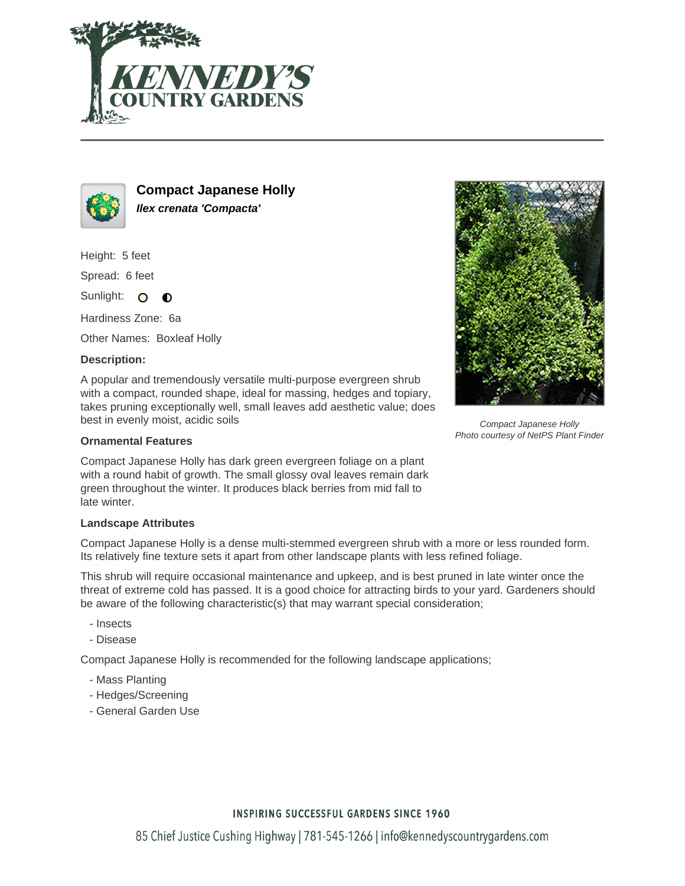



**Compact Japanese Holly Ilex crenata 'Compacta'**

Height: 5 feet

Spread: 6 feet

Sunlight: O  $\bullet$ 

Hardiness Zone: 6a

Other Names: Boxleaf Holly

## **Description:**

A popular and tremendously versatile multi-purpose evergreen shrub with a compact, rounded shape, ideal for massing, hedges and topiary, takes pruning exceptionally well, small leaves add aesthetic value; does best in evenly moist, acidic soils

### **Ornamental Features**

Compact Japanese Holly has dark green evergreen foliage on a plant with a round habit of growth. The small glossy oval leaves remain dark green throughout the winter. It produces black berries from mid fall to late winter.

#### **Landscape Attributes**

Compact Japanese Holly is a dense multi-stemmed evergreen shrub with a more or less rounded form. Its relatively fine texture sets it apart from other landscape plants with less refined foliage.

This shrub will require occasional maintenance and upkeep, and is best pruned in late winter once the threat of extreme cold has passed. It is a good choice for attracting birds to your yard. Gardeners should be aware of the following characteristic(s) that may warrant special consideration;

- Insects
- Disease

Compact Japanese Holly is recommended for the following landscape applications;

- Mass Planting
- Hedges/Screening
- General Garden Use



Compact Japanese Holly Photo courtesy of NetPS Plant Finder

## **INSPIRING SUCCESSFUL GARDENS SINCE 1960**

85 Chief Justice Cushing Highway | 781-545-1266 | info@kennedyscountrygardens.com